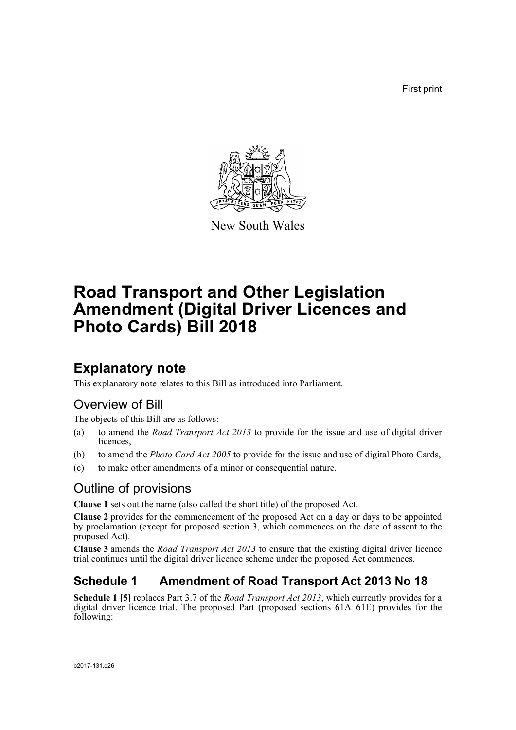First print



New South Wales

# **Road Transport and Other Legislation Amendment (Digital Driver Licences and Photo Cards) Bill 2018**

# **Explanatory note**

This explanatory note relates to this Bill as introduced into Parliament.

# Overview of Bill

The objects of this Bill are as follows:

- (a) to amend the *Road Transport Act 2013* to provide for the issue and use of digital driver licences,
- (b) to amend the *Photo Card Act 2005* to provide for the issue and use of digital Photo Cards,
- (c) to make other amendments of a minor or consequential nature.

# Outline of provisions

**Clause 1** sets out the name (also called the short title) of the proposed Act.

**Clause 2** provides for the commencement of the proposed Act on a day or days to be appointed by proclamation (except for proposed section 3, which commences on the date of assent to the proposed Act).

**Clause 3** amends the *Road Transport Act 2013* to ensure that the existing digital driver licence trial continues until the digital driver licence scheme under the proposed Act commences.

# **Schedule 1 Amendment of Road Transport Act 2013 No 18**

**Schedule 1 [5]** replaces Part 3.7 of the *Road Transport Act 2013*, which currently provides for a digital driver licence trial. The proposed Part (proposed sections 61A–61E) provides for the following: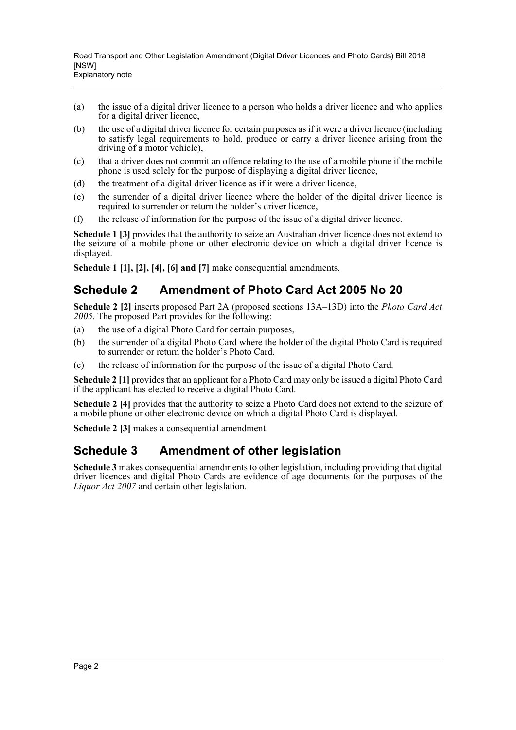- (a) the issue of a digital driver licence to a person who holds a driver licence and who applies for a digital driver licence,
- (b) the use of a digital driver licence for certain purposes as if it were a driver licence (including to satisfy legal requirements to hold, produce or carry a driver licence arising from the driving of a motor vehicle),
- (c) that a driver does not commit an offence relating to the use of a mobile phone if the mobile phone is used solely for the purpose of displaying a digital driver licence,
- (d) the treatment of a digital driver licence as if it were a driver licence,
- (e) the surrender of a digital driver licence where the holder of the digital driver licence is required to surrender or return the holder's driver licence,
- (f) the release of information for the purpose of the issue of a digital driver licence.

**Schedule 1 [3]** provides that the authority to seize an Australian driver licence does not extend to the seizure of a mobile phone or other electronic device on which a digital driver licence is displayed.

**Schedule 1 [1], [2], [4], [6] and [7]** make consequential amendments.

# **Schedule 2 Amendment of Photo Card Act 2005 No 20**

**Schedule 2 [2]** inserts proposed Part 2A (proposed sections 13A–13D) into the *Photo Card Act 2005*. The proposed Part provides for the following:

- (a) the use of a digital Photo Card for certain purposes,
- (b) the surrender of a digital Photo Card where the holder of the digital Photo Card is required to surrender or return the holder's Photo Card.
- (c) the release of information for the purpose of the issue of a digital Photo Card.

**Schedule 2 [1]** provides that an applicant for a Photo Card may only be issued a digital Photo Card if the applicant has elected to receive a digital Photo Card.

**Schedule 2 [4]** provides that the authority to seize a Photo Card does not extend to the seizure of a mobile phone or other electronic device on which a digital Photo Card is displayed.

**Schedule 2 [3] makes a consequential amendment.** 

# **Schedule 3 Amendment of other legislation**

**Schedule 3** makes consequential amendments to other legislation, including providing that digital driver licences and digital Photo Cards are evidence of age documents for the purposes of the *Liquor Act 2007* and certain other legislation.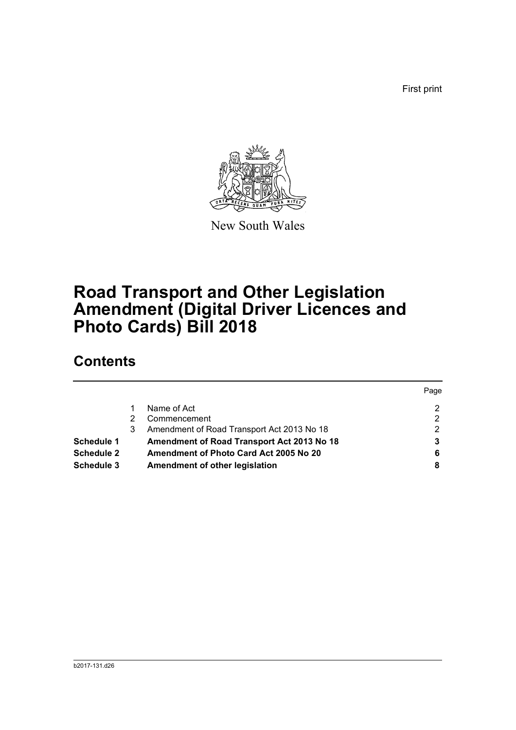First print



New South Wales

# **Road Transport and Other Legislation Amendment (Digital Driver Licences and Photo Cards) Bill 2018**

# **Contents**

|                   |   |                                            | Page |
|-------------------|---|--------------------------------------------|------|
|                   |   | Name of Act                                | າ    |
|                   | 2 | Commencement                               | 2    |
|                   | 3 | Amendment of Road Transport Act 2013 No 18 | າ    |
| Schedule 1        |   | Amendment of Road Transport Act 2013 No 18 |      |
| <b>Schedule 2</b> |   | Amendment of Photo Card Act 2005 No 20     | 6    |
| Schedule 3        |   | Amendment of other legislation             | 8    |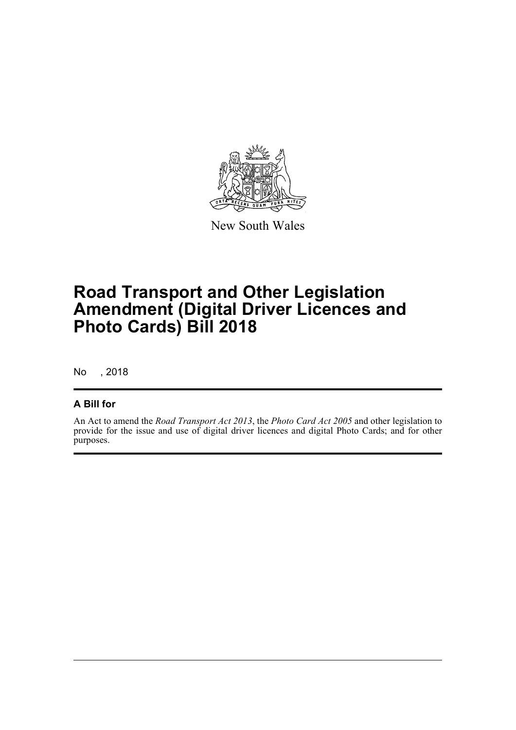

New South Wales

# **Road Transport and Other Legislation Amendment (Digital Driver Licences and Photo Cards) Bill 2018**

No , 2018

## **A Bill for**

An Act to amend the *Road Transport Act 2013*, the *Photo Card Act 2005* and other legislation to provide for the issue and use of digital driver licences and digital Photo Cards; and for other purposes.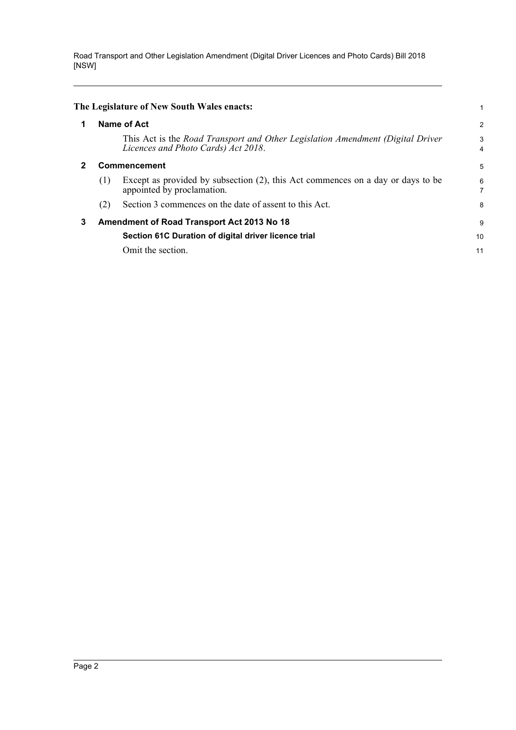<span id="page-4-2"></span><span id="page-4-1"></span><span id="page-4-0"></span>

|   |                                            | The Legislature of New South Wales enacts:                                                                            |        |  |
|---|--------------------------------------------|-----------------------------------------------------------------------------------------------------------------------|--------|--|
| 1 | Name of Act                                |                                                                                                                       |        |  |
|   |                                            | This Act is the Road Transport and Other Legislation Amendment (Digital Driver<br>Licences and Photo Cards) Act 2018. | 3<br>4 |  |
|   | Commencement                               |                                                                                                                       |        |  |
|   | (1)                                        | Except as provided by subsection (2), this Act commences on a day or days to be<br>appointed by proclamation.         | 6<br>7 |  |
|   | (2)                                        | Section 3 commences on the date of assent to this Act.                                                                | 8      |  |
| 3 | Amendment of Road Transport Act 2013 No 18 |                                                                                                                       |        |  |
|   |                                            | Section 61C Duration of digital driver licence trial                                                                  | 10     |  |
|   |                                            | Omit the section.                                                                                                     | 11     |  |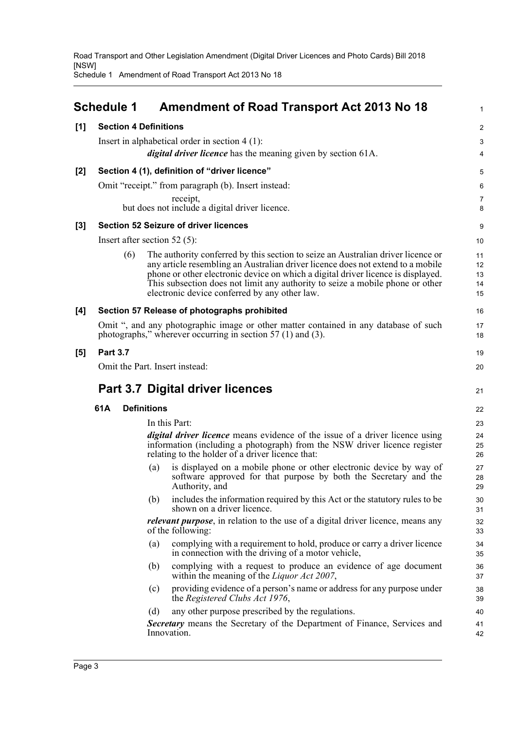Schedule 1 Amendment of Road Transport Act 2013 No 18

<span id="page-5-0"></span>

|       | <b>Schedule 1</b>                                                    |     | Amendment of Road Transport Act 2013 No 18                                                                                                                                                                                                                                                                                                                                                | 1                          |  |
|-------|----------------------------------------------------------------------|-----|-------------------------------------------------------------------------------------------------------------------------------------------------------------------------------------------------------------------------------------------------------------------------------------------------------------------------------------------------------------------------------------------|----------------------------|--|
| [1]   | <b>Section 4 Definitions</b>                                         |     |                                                                                                                                                                                                                                                                                                                                                                                           | 2                          |  |
|       |                                                                      |     | Insert in alphabetical order in section $4(1)$ :                                                                                                                                                                                                                                                                                                                                          | 3                          |  |
|       |                                                                      |     | digital driver licence has the meaning given by section 61A.                                                                                                                                                                                                                                                                                                                              | 4                          |  |
| $[2]$ |                                                                      |     | Section 4 (1), definition of "driver licence"                                                                                                                                                                                                                                                                                                                                             | 5                          |  |
|       |                                                                      |     | Omit "receipt." from paragraph (b). Insert instead:                                                                                                                                                                                                                                                                                                                                       | 6                          |  |
|       |                                                                      |     | receipt,<br>but does not include a digital driver licence.                                                                                                                                                                                                                                                                                                                                | 7<br>8                     |  |
| $[3]$ |                                                                      |     | <b>Section 52 Seizure of driver licences</b>                                                                                                                                                                                                                                                                                                                                              | 9                          |  |
|       | Insert after section 52 $(5)$ :                                      |     |                                                                                                                                                                                                                                                                                                                                                                                           | 10                         |  |
|       | (6)                                                                  |     | The authority conferred by this section to seize an Australian driver licence or<br>any article resembling an Australian driver licence does not extend to a mobile<br>phone or other electronic device on which a digital driver licence is displayed.<br>This subsection does not limit any authority to seize a mobile phone or other<br>electronic device conferred by any other law. | 11<br>12<br>13<br>14<br>15 |  |
| [4]   |                                                                      |     | Section 57 Release of photographs prohibited                                                                                                                                                                                                                                                                                                                                              | 16                         |  |
|       |                                                                      |     | Omit ", and any photographic image or other matter contained in any database of such<br>photographs," wherever occurring in section $57(1)$ and $(3)$ .                                                                                                                                                                                                                                   | 17<br>18                   |  |
| $[5]$ | <b>Part 3.7</b>                                                      |     |                                                                                                                                                                                                                                                                                                                                                                                           | 19                         |  |
|       |                                                                      |     | Omit the Part. Insert instead:                                                                                                                                                                                                                                                                                                                                                            | 20                         |  |
|       | <b>Part 3.7 Digital driver licences</b><br>61A<br><b>Definitions</b> |     |                                                                                                                                                                                                                                                                                                                                                                                           |                            |  |
|       |                                                                      |     |                                                                                                                                                                                                                                                                                                                                                                                           |                            |  |
|       |                                                                      |     | In this Part:                                                                                                                                                                                                                                                                                                                                                                             | 23                         |  |
|       |                                                                      |     | <i>digital driver licence</i> means evidence of the issue of a driver licence using<br>information (including a photograph) from the NSW driver licence register<br>relating to the holder of a driver licence that:                                                                                                                                                                      | 24<br>25<br>26             |  |
|       |                                                                      | (a) | is displayed on a mobile phone or other electronic device by way of<br>software approved for that purpose by both the Secretary and the<br>Authority, and                                                                                                                                                                                                                                 | 27<br>28<br>29             |  |
|       |                                                                      | (b) | includes the information required by this Act or the statutory rules to be<br>shown on a driver licence.                                                                                                                                                                                                                                                                                  | 30<br>31                   |  |
|       |                                                                      |     | <i>relevant purpose</i> , in relation to the use of a digital driver licence, means any<br>of the following:                                                                                                                                                                                                                                                                              | 32<br>33                   |  |
|       |                                                                      | (a) | complying with a requirement to hold, produce or carry a driver licence<br>in connection with the driving of a motor vehicle,                                                                                                                                                                                                                                                             | 34<br>35                   |  |
|       |                                                                      | (b) | complying with a request to produce an evidence of age document<br>within the meaning of the Liquor Act 2007,                                                                                                                                                                                                                                                                             | 36<br>37                   |  |
|       |                                                                      | (c) | providing evidence of a person's name or address for any purpose under<br>the Registered Clubs Act 1976,                                                                                                                                                                                                                                                                                  | 38<br>39                   |  |
|       |                                                                      | (d) | any other purpose prescribed by the regulations.                                                                                                                                                                                                                                                                                                                                          | 40                         |  |
|       |                                                                      |     | Secretary means the Secretary of the Department of Finance, Services and<br>Innovation.                                                                                                                                                                                                                                                                                                   | 41<br>42                   |  |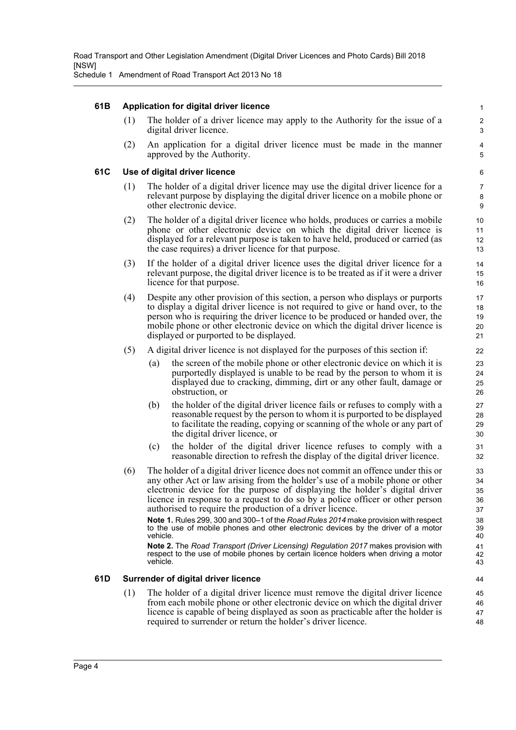Schedule 1 Amendment of Road Transport Act 2013 No 18

### **61B Application for digital driver licence**

(1) The holder of a driver licence may apply to the Authority for the issue of a digital driver licence.

(2) An application for a digital driver licence must be made in the manner approved by the Authority.

### **61C Use of digital driver licence**

- (1) The holder of a digital driver licence may use the digital driver licence for a relevant purpose by displaying the digital driver licence on a mobile phone or other electronic device.
- (2) The holder of a digital driver licence who holds, produces or carries a mobile phone or other electronic device on which the digital driver licence is displayed for a relevant purpose is taken to have held, produced or carried (as the case requires) a driver licence for that purpose.
- (3) If the holder of a digital driver licence uses the digital driver licence for a relevant purpose, the digital driver licence is to be treated as if it were a driver licence for that purpose.
- (4) Despite any other provision of this section, a person who displays or purports to display a digital driver licence is not required to give or hand over, to the person who is requiring the driver licence to be produced or handed over, the mobile phone or other electronic device on which the digital driver licence is displayed or purported to be displayed.
- (5) A digital driver licence is not displayed for the purposes of this section if:
	- (a) the screen of the mobile phone or other electronic device on which it is purportedly displayed is unable to be read by the person to whom it is displayed due to cracking, dimming, dirt or any other fault, damage or obstruction, or
	- (b) the holder of the digital driver licence fails or refuses to comply with a reasonable request by the person to whom it is purported to be displayed to facilitate the reading, copying or scanning of the whole or any part of the digital driver licence, or
	- (c) the holder of the digital driver licence refuses to comply with a reasonable direction to refresh the display of the digital driver licence.
- (6) The holder of a digital driver licence does not commit an offence under this or any other Act or law arising from the holder's use of a mobile phone or other electronic device for the purpose of displaying the holder's digital driver licence in response to a request to do so by a police officer or other person authorised to require the production of a driver licence.

**Note 1.** Rules 299, 300 and 300–1 of the *Road Rules 2014* make provision with respect to the use of mobile phones and other electronic devices by the driver of a motor vehicle.

**Note 2.** The *Road Transport (Driver Licensing) Regulation 2017* makes provision with respect to the use of mobile phones by certain licence holders when driving a motor vehicle.

### **61D Surrender of digital driver licence**

(1) The holder of a digital driver licence must remove the digital driver licence from each mobile phone or other electronic device on which the digital driver licence is capable of being displayed as soon as practicable after the holder is required to surrender or return the holder's driver licence.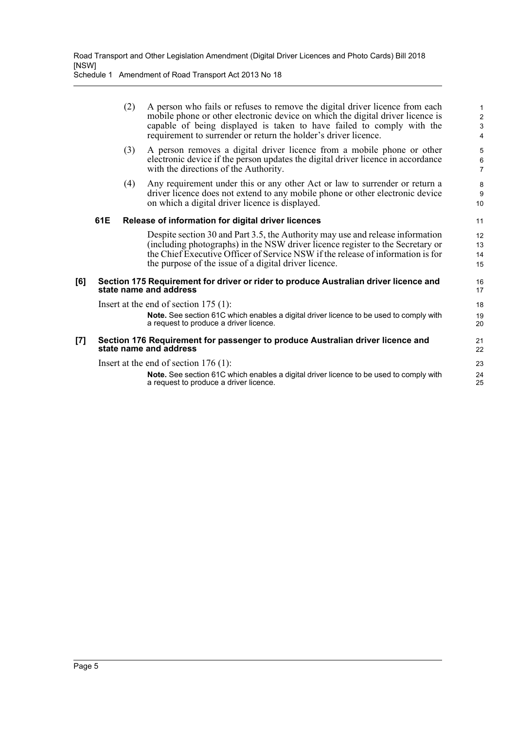Schedule 1 Amendment of Road Transport Act 2013 No 18

|     |                                         | (2) | A person who fails or refuses to remove the digital driver licence from each<br>mobile phone or other electronic device on which the digital driver licence is<br>capable of being displayed is taken to have failed to comply with the<br>requirement to surrender or return the holder's driver licence.   | 1<br>$\overline{c}$<br>3<br>4 |  |
|-----|-----------------------------------------|-----|--------------------------------------------------------------------------------------------------------------------------------------------------------------------------------------------------------------------------------------------------------------------------------------------------------------|-------------------------------|--|
|     |                                         | (3) | A person removes a digital driver licence from a mobile phone or other<br>electronic device if the person updates the digital driver licence in accordance<br>with the directions of the Authority.                                                                                                          | 5<br>6<br>$\overline{7}$      |  |
|     |                                         | (4) | Any requirement under this or any other Act or law to surrender or return a<br>driver licence does not extend to any mobile phone or other electronic device<br>on which a digital driver licence is displayed.                                                                                              | 8<br>9<br>10                  |  |
|     | 61E                                     |     | Release of information for digital driver licences                                                                                                                                                                                                                                                           | 11                            |  |
|     |                                         |     | Despite section 30 and Part 3.5, the Authority may use and release information<br>(including photographs) in the NSW driver licence register to the Secretary or<br>the Chief Executive Officer of Service NSW if the release of information is for<br>the purpose of the issue of a digital driver licence. | 12<br>13<br>14<br>15          |  |
| [6] |                                         |     | Section 175 Requirement for driver or rider to produce Australian driver licence and<br>state name and address                                                                                                                                                                                               | 16<br>17                      |  |
|     | Insert at the end of section $175$ (1): |     |                                                                                                                                                                                                                                                                                                              |                               |  |
|     |                                         |     | Note. See section 61C which enables a digital driver licence to be used to comply with<br>a request to produce a driver licence.                                                                                                                                                                             | 19<br>20                      |  |
| [7] |                                         |     | Section 176 Requirement for passenger to produce Australian driver licence and<br>state name and address                                                                                                                                                                                                     | 21<br>22                      |  |
|     |                                         |     | Insert at the end of section $176(1)$ :                                                                                                                                                                                                                                                                      | 23                            |  |
|     |                                         |     | Note. See section 61C which enables a digital driver licence to be used to comply with<br>a request to produce a driver licence.                                                                                                                                                                             | 24<br>25                      |  |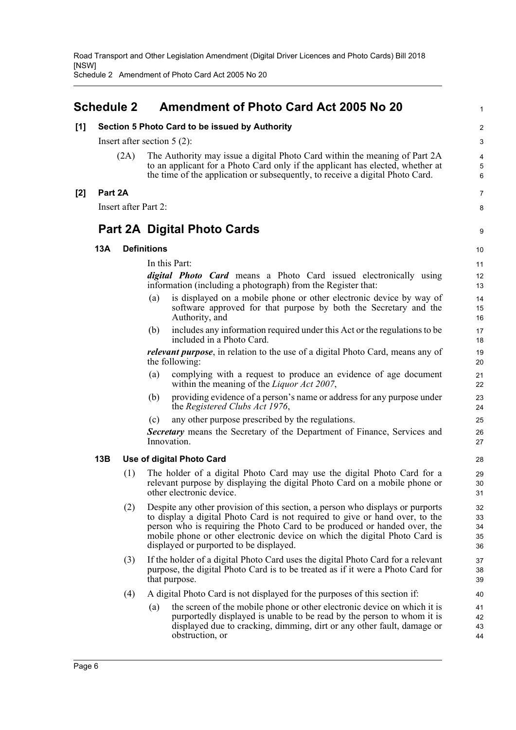1

Schedule 2 Amendment of Photo Card Act 2005 No 20

## <span id="page-8-0"></span>**Schedule 2 Amendment of Photo Card Act 2005 No 20**

|       | [1]<br>Section 5 Photo Card to be issued by Authority |                      |                                                                                                                                                                                                                                                                                                                                                                      |                            |  |  |
|-------|-------------------------------------------------------|----------------------|----------------------------------------------------------------------------------------------------------------------------------------------------------------------------------------------------------------------------------------------------------------------------------------------------------------------------------------------------------------------|----------------------------|--|--|
|       |                                                       |                      | Insert after section $5(2)$ :                                                                                                                                                                                                                                                                                                                                        |                            |  |  |
|       |                                                       | (2A)                 | The Authority may issue a digital Photo Card within the meaning of Part 2A<br>to an applicant for a Photo Card only if the applicant has elected, whether at<br>the time of the application or subsequently, to receive a digital Photo Card.                                                                                                                        | 4<br>5<br>6                |  |  |
| $[2]$ | Part 2A                                               |                      |                                                                                                                                                                                                                                                                                                                                                                      | 7                          |  |  |
|       |                                                       | Insert after Part 2: |                                                                                                                                                                                                                                                                                                                                                                      | 8                          |  |  |
|       |                                                       |                      | <b>Part 2A Digital Photo Cards</b>                                                                                                                                                                                                                                                                                                                                   | 9                          |  |  |
|       | 13A                                                   |                      | <b>Definitions</b>                                                                                                                                                                                                                                                                                                                                                   | 10                         |  |  |
|       |                                                       |                      | In this Part:                                                                                                                                                                                                                                                                                                                                                        | 11                         |  |  |
|       |                                                       |                      | <i>digital Photo Card</i> means a Photo Card issued electronically using<br>information (including a photograph) from the Register that:                                                                                                                                                                                                                             | 12<br>13                   |  |  |
|       |                                                       |                      | is displayed on a mobile phone or other electronic device by way of<br>(a)<br>software approved for that purpose by both the Secretary and the<br>Authority, and                                                                                                                                                                                                     | 14<br>15<br>16             |  |  |
|       |                                                       |                      | includes any information required under this Act or the regulations to be<br>(b)<br>included in a Photo Card.                                                                                                                                                                                                                                                        | 17<br>18                   |  |  |
|       |                                                       |                      | <i>relevant purpose</i> , in relation to the use of a digital Photo Card, means any of<br>the following:                                                                                                                                                                                                                                                             | 19<br>20                   |  |  |
|       |                                                       |                      | complying with a request to produce an evidence of age document<br>(a)<br>within the meaning of the <i>Liquor Act 2007</i> ,                                                                                                                                                                                                                                         | 21<br>22                   |  |  |
|       |                                                       |                      | providing evidence of a person's name or address for any purpose under<br>(b)<br>the <i>Registered Clubs Act 1976</i> ,                                                                                                                                                                                                                                              | 23<br>24                   |  |  |
|       |                                                       |                      | any other purpose prescribed by the regulations.<br>(c)                                                                                                                                                                                                                                                                                                              | 25                         |  |  |
|       |                                                       |                      | Secretary means the Secretary of the Department of Finance, Services and<br>Innovation.                                                                                                                                                                                                                                                                              | 26<br>27                   |  |  |
|       | 13B                                                   |                      | Use of digital Photo Card                                                                                                                                                                                                                                                                                                                                            | 28                         |  |  |
|       |                                                       | (1)                  | The holder of a digital Photo Card may use the digital Photo Card for a<br>relevant purpose by displaying the digital Photo Card on a mobile phone or<br>other electronic device.                                                                                                                                                                                    | 29<br>30<br>31             |  |  |
|       |                                                       | (2)                  | Despite any other provision of this section, a person who displays or purports<br>to display a digital Photo Card is not required to give or hand over, to the<br>person who is requiring the Photo Card to be produced or handed over, the<br>mobile phone or other electronic device on which the digital Photo Card is<br>displayed or purported to be displayed. | 32<br>33<br>34<br>35<br>36 |  |  |
|       |                                                       | (3)                  | If the holder of a digital Photo Card uses the digital Photo Card for a relevant<br>purpose, the digital Photo Card is to be treated as if it were a Photo Card for<br>that purpose.                                                                                                                                                                                 | 37<br>38<br>39             |  |  |
|       |                                                       | (4)                  | A digital Photo Card is not displayed for the purposes of this section if:                                                                                                                                                                                                                                                                                           | 40                         |  |  |
|       |                                                       |                      | the screen of the mobile phone or other electronic device on which it is<br>(a)<br>purportedly displayed is unable to be read by the person to whom it is<br>displayed due to cracking, dimming, dirt or any other fault, damage or<br>obstruction, or                                                                                                               | 41<br>42<br>43<br>44       |  |  |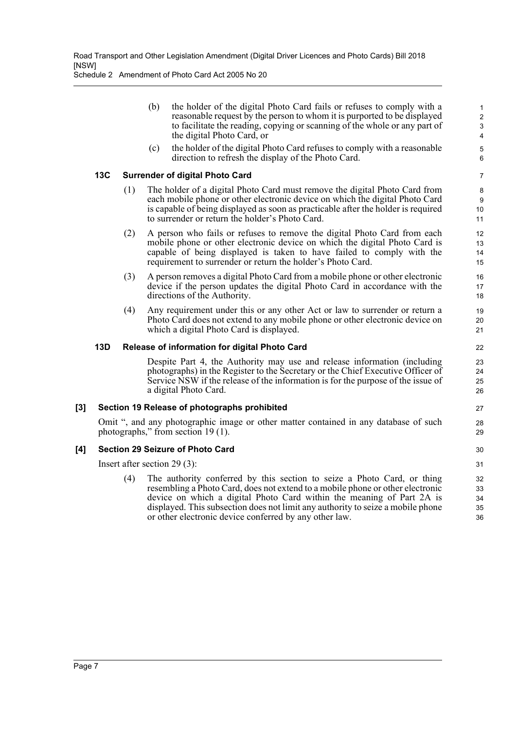Schedule 2 Amendment of Photo Card Act 2005 No 20

| (b) | the holder of the digital Photo Card fails or refuses to comply with a<br>reasonable request by the person to whom it is purported to be displayed<br>to facilitate the reading, copying or scanning of the whole or any part of |  |
|-----|----------------------------------------------------------------------------------------------------------------------------------------------------------------------------------------------------------------------------------|--|
|     | the digital Photo Card, or                                                                                                                                                                                                       |  |
|     | $(1)$ $(1)$ $(1)$ $(1)$ $(2)$ $(3)$ $(4)$ $(1)$ $(4)$ $(5)$ $(1)$ $(2)$ $(3)$ $(4)$ $(5)$ $(5)$ $(4)$ $(5)$ $(6)$ $(1)$                                                                                                          |  |

27 28 29

30 31

(c) the holder of the digital Photo Card refuses to comply with a reasonable direction to refresh the display of the Photo Card.

### **13C Surrender of digital Photo Card**

- (1) The holder of a digital Photo Card must remove the digital Photo Card from each mobile phone or other electronic device on which the digital Photo Card is capable of being displayed as soon as practicable after the holder is required to surrender or return the holder's Photo Card.
- (2) A person who fails or refuses to remove the digital Photo Card from each mobile phone or other electronic device on which the digital Photo Card is capable of being displayed is taken to have failed to comply with the requirement to surrender or return the holder's Photo Card.
- (3) A person removes a digital Photo Card from a mobile phone or other electronic device if the person updates the digital Photo Card in accordance with the directions of the Authority.
- (4) Any requirement under this or any other Act or law to surrender or return a Photo Card does not extend to any mobile phone or other electronic device on which a digital Photo Card is displayed.

### **13D Release of information for digital Photo Card**

Despite Part 4, the Authority may use and release information (including photographs) in the Register to the Secretary or the Chief Executive Officer of Service NSW if the release of the information is for the purpose of the issue of a digital Photo Card.

## **[3] Section 19 Release of photographs prohibited**

Omit ", and any photographic image or other matter contained in any database of such photographs," from section 19 (1).

## **[4] Section 29 Seizure of Photo Card**

Insert after section 29 (3):

The authority conferred by this section to seize a Photo Card, or thing resembling a Photo Card, does not extend to a mobile phone or other electronic device on which a digital Photo Card within the meaning of Part 2A is displayed. This subsection does not limit any authority to seize a mobile phone or other electronic device conferred by any other law. 32 33 34 35 36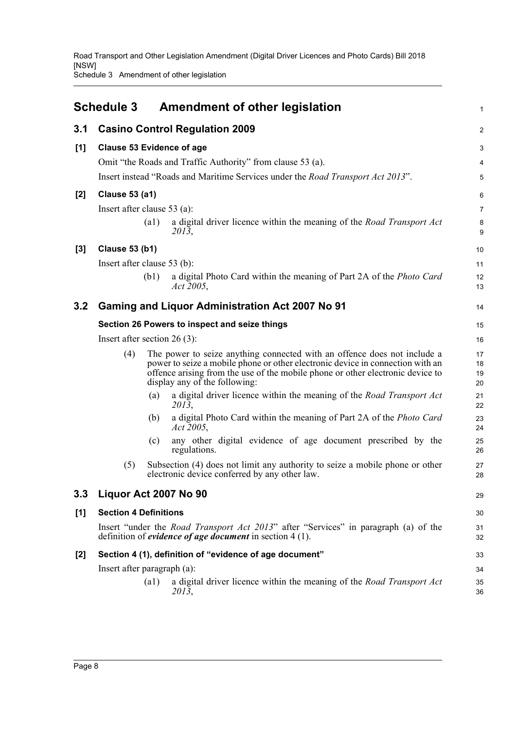Road Transport and Other Legislation Amendment (Digital Driver Licences and Photo Cards) Bill 2018 [NSW] Schedule 3 Amendment of other legislation

<span id="page-10-0"></span>

|       | <b>Schedule 3</b>                                                                                                                                                |      | Amendment of other legislation                                                                                                                                                                                                                                                | $\mathbf{1}$            |  |
|-------|------------------------------------------------------------------------------------------------------------------------------------------------------------------|------|-------------------------------------------------------------------------------------------------------------------------------------------------------------------------------------------------------------------------------------------------------------------------------|-------------------------|--|
| 3.1   |                                                                                                                                                                  |      | <b>Casino Control Regulation 2009</b>                                                                                                                                                                                                                                         | $\overline{\mathbf{c}}$ |  |
| [1]   | <b>Clause 53 Evidence of age</b>                                                                                                                                 |      |                                                                                                                                                                                                                                                                               | 3                       |  |
|       |                                                                                                                                                                  |      | Omit "the Roads and Traffic Authority" from clause 53 (a).                                                                                                                                                                                                                    | $\overline{\mathbf{4}}$ |  |
|       |                                                                                                                                                                  |      | Insert instead "Roads and Maritime Services under the <i>Road Transport Act 2013</i> ".                                                                                                                                                                                       | 5                       |  |
| $[2]$ | <b>Clause 53 (a1)</b>                                                                                                                                            |      |                                                                                                                                                                                                                                                                               | 6                       |  |
|       | Insert after clause $53$ (a):                                                                                                                                    |      |                                                                                                                                                                                                                                                                               | $\overline{7}$          |  |
|       |                                                                                                                                                                  | (a1) | a digital driver licence within the meaning of the Road Transport Act<br>2013,                                                                                                                                                                                                | 8<br>9                  |  |
| $[3]$ | <b>Clause 53 (b1)</b>                                                                                                                                            |      |                                                                                                                                                                                                                                                                               | 10                      |  |
|       | Insert after clause 53 (b):                                                                                                                                      |      |                                                                                                                                                                                                                                                                               | 11                      |  |
|       |                                                                                                                                                                  | (b1) | a digital Photo Card within the meaning of Part 2A of the <i>Photo Card</i><br>Act 2005,                                                                                                                                                                                      | 12<br>13                |  |
| 3.2   |                                                                                                                                                                  |      | <b>Gaming and Liquor Administration Act 2007 No 91</b>                                                                                                                                                                                                                        | 14                      |  |
|       |                                                                                                                                                                  |      | Section 26 Powers to inspect and seize things                                                                                                                                                                                                                                 | 15                      |  |
|       | Insert after section $26(3)$ :                                                                                                                                   |      |                                                                                                                                                                                                                                                                               |                         |  |
|       | (4)                                                                                                                                                              |      | The power to seize anything connected with an offence does not include a<br>power to seize a mobile phone or other electronic device in connection with an<br>offence arising from the use of the mobile phone or other electronic device to<br>display any of the following: | 17<br>18<br>19<br>20    |  |
|       |                                                                                                                                                                  | (a)  | a digital driver licence within the meaning of the Road Transport Act<br>2013,                                                                                                                                                                                                | 21<br>22                |  |
|       |                                                                                                                                                                  | (b)  | a digital Photo Card within the meaning of Part 2A of the Photo Card<br>Act 2005,                                                                                                                                                                                             | 23<br>24                |  |
|       |                                                                                                                                                                  | (c)  | any other digital evidence of age document prescribed by the<br>regulations.                                                                                                                                                                                                  | 25<br>26                |  |
|       | (5)                                                                                                                                                              |      | Subsection (4) does not limit any authority to seize a mobile phone or other<br>electronic device conferred by any other law.                                                                                                                                                 | 27<br>28                |  |
| 3.3   | Liquor Act 2007 No 90                                                                                                                                            |      |                                                                                                                                                                                                                                                                               | 29                      |  |
| [1]   | <b>Section 4 Definitions</b>                                                                                                                                     |      |                                                                                                                                                                                                                                                                               | 30                      |  |
|       | Insert "under the <i>Road Transport Act 2013</i> " after "Services" in paragraph (a) of the<br>definition of <i>evidence of age document</i> in section $4(1)$ . |      |                                                                                                                                                                                                                                                                               |                         |  |
| $[2]$ |                                                                                                                                                                  |      | Section 4 (1), definition of "evidence of age document"                                                                                                                                                                                                                       | 33                      |  |
|       | Insert after paragraph (a):                                                                                                                                      |      |                                                                                                                                                                                                                                                                               | 34                      |  |
|       |                                                                                                                                                                  | (a1) | a digital driver licence within the meaning of the Road Transport Act<br>2013,                                                                                                                                                                                                | 35<br>36                |  |